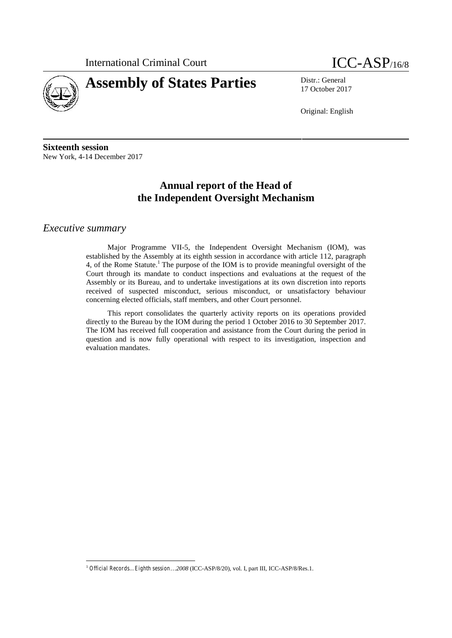

# **Assembly of States Parties** Distr.: General

17 October 2017

Original: English

**Sixteenth session** New York, 4-14 December 2017

# **Annual report of the Head of the Independent Oversight Mechanism**

### *Executive summary*

Major Programme VII-5, the Independent Oversight Mechanism (IOM), was established by the Assembly at its eighth session in accordance with article 112, paragraph 4, of the Rome Statute.<sup>1</sup> The purpose of the IOM is to provide meaningful oversight of the Court through its mandate to conduct inspections and evaluations at the request of the Assembly or its Bureau, and to undertake investigations at its own discretion into reports received of suspected misconduct, serious misconduct, or unsatisfactory behaviour concerning elected officials, staff members, and other Court personnel.

This report consolidates the quarterly activity reports on its operations provided directly to the Bureau by the IOM during the period 1 October 2016 to 30 September 2017. The IOM has received full cooperation and assistance from the Court during the period in question and is now fully operational with respect to its investigation, inspection and evaluation mandates.

<sup>1</sup> *Official Records…Eighth session*…*2008* (ICC-ASP/8/20), vol. I, part III, ICC-ASP/8/Res.1.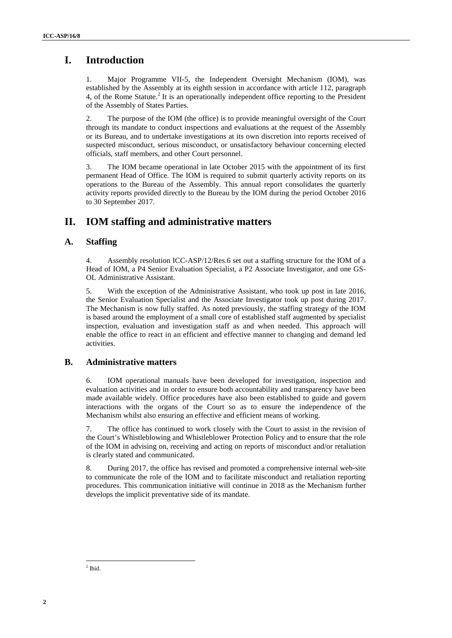# **I. Introduction**

1. Major Programme VII-5, the Independent Oversight Mechanism (IOM), was established by the Assembly at its eighth session in accordance with article 112, paragraph 4, of the Rome Statute.<sup>2</sup> It is an operationally independent office reporting to the President of the Assembly of States Parties.

2. The purpose of the IOM (the office) is to provide meaningful oversight of the Court through its mandate to conduct inspections and evaluations at the request of the Assembly or its Bureau, and to undertake investigations at its own discretion into reports received of suspected misconduct, serious misconduct, or unsatisfactory behaviour concerning elected officials, staff members, and other Court personnel.

3. The IOM became operational in late October 2015 with the appointment of its first permanent Head of Office. The IOM is required to submit quarterly activity reports on its operations to the Bureau of the Assembly. This annual report consolidates the quarterly activity reports provided directly to the Bureau by the IOM during the period October 2016 to 30 September 2017.

### **II. IOM staffing and administrative matters**

### **A. Staffing**

4. Assembly resolution ICC-ASP/12/Res.6 set out a staffing structure for the IOM of a Head of IOM, a P4 Senior Evaluation Specialist, a P2 Associate Investigator, and one GS- OL Administrative Assistant.

**1.** Introduction<br>
1. Anti-ordering VHA, the absorption Orientation Orientation (ONE) was<br>
2. Considered by the absorption of the absorption movement with cause it. You were<br>
2. Subject to the proposition of the absorptio 5. With the exception of the Administrative Assistant, who took up post in late 2016, the Senior Evaluation Specialist and the Associate Investigator took up post during 2017. The Mechanism is now fully staffed. As noted previously, the staffing strategy of the IOM is based around the employment of a small core of established staff augmented by specialist inspection, evaluation and investigation staff as and when needed. This approach will enable the office to react in an efficient and effective manner to changing and demand led activities.

### **B. Administrative matters**

6. IOM operational manuals have been developed for investigation, inspection and evaluation activities and in order to ensure both accountability and transparency have been made available widely. Office procedures have also been established to guide and govern interactions with the organs of the Court so as to ensure the independence of the Mechanism whilst also ensuring an effective and efficient means of working.

7. The office has continued to work closely with the Court to assist in the revision of the Court's Whistleblowing and Whistleblower Protection Policy and to ensure that the role of the IOM in advising on, receiving and acting on reports of misconduct and/or retaliation is clearly stated and communicated.

8. During 2017, the office has revised and promoted a comprehensive internal web-site to communicate the role of the IOM and to facilitate misconduct and retaliation reporting procedures. This communication initiative will continue in 2018 as the Mechanism further develops the implicit preventative side of its mandate.

<sup>2</sup> Ibid.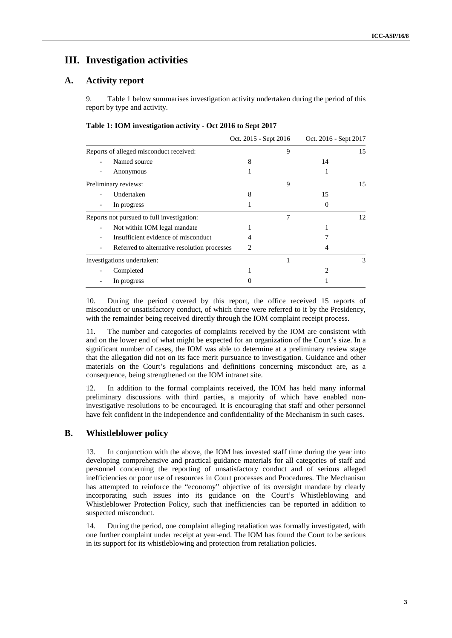# **III. Investigation activities**

### **A. Activity report**

9. Table 1 below summarises investigation activity undertaken during the period of this report by type and activity.

|                                              |   | Oct. 2015 - Sept 2016 |          | Oct. 2016 - Sept 2017 |  |
|----------------------------------------------|---|-----------------------|----------|-----------------------|--|
| Reports of alleged misconduct received:      |   | 9                     |          | 15                    |  |
| Named source                                 | 8 |                       | 14       |                       |  |
| Anonymous                                    |   |                       |          |                       |  |
| Preliminary reviews:                         |   | 9                     |          | 15                    |  |
| Undertaken                                   | 8 |                       | 15       |                       |  |
| In progress                                  |   |                       | $\theta$ |                       |  |
| Reports not pursued to full investigation:   |   |                       |          | 12                    |  |
| Not within IOM legal mandate                 |   |                       |          |                       |  |
| Insufficient evidence of misconduct          | 4 |                       |          |                       |  |
| Referred to alternative resolution processes | 2 |                       |          |                       |  |
| Investigations undertaken:                   |   |                       |          | 3                     |  |
| Completed                                    |   |                       | 2        |                       |  |
| In progress                                  |   |                       |          |                       |  |

#### **Table 1: IOM investigation activity - Oct 2016 to Sept 2017**

10. During the period covered by this report, the office received 15 reports of misconduct or unsatisfactory conduct, of which three were referred to it by the Presidency, with the remainder being received directly through the IOM complaint receipt process.

11. The number and categories of complaints received by the IOM are consistent with and on the lower end of what might be expected for an organization of the Court's size. In a significant number of cases, the IOM was able to determine at a preliminary review stage that the allegation did not on its face merit pursuance to investigation. Guidance and other materials on the Court's regulations and definitions concerning misconduct are, as a consequence, being strengthened on the IOM intranet site.

12. In addition to the formal complaints received, the IOM has held many informal preliminary discussions with third parties, a majority of which have enabled noninvestigative resolutions to be encouraged. It is encouraging that staff and other personnel have felt confident in the independence and confidentiality of the Mechanism in such cases.

#### **B. Whistleblower policy**

13. In conjunction with the above, the IOM has invested staff time during the year into developing comprehensive and practical guidance materials for all categories of staff and personnel concerning the reporting of unsatisfactory conduct and of serious alleged inefficiencies or poor use of resources in Court processes and Procedures. The Mechanism has attempted to reinforce the "economy" objective of its oversight mandate by clearly incorporating such issues into its guidance on the Court's Whistleblowing and Whistleblower Protection Policy, such that inefficiencies can be reported in addition to suspected misconduct.

14. During the period, one complaint alleging retaliation was formally investigated, with one further complaint under receipt at year-end. The IOM has found the Court to be serious in its support for its whistleblowing and protection from retaliation policies.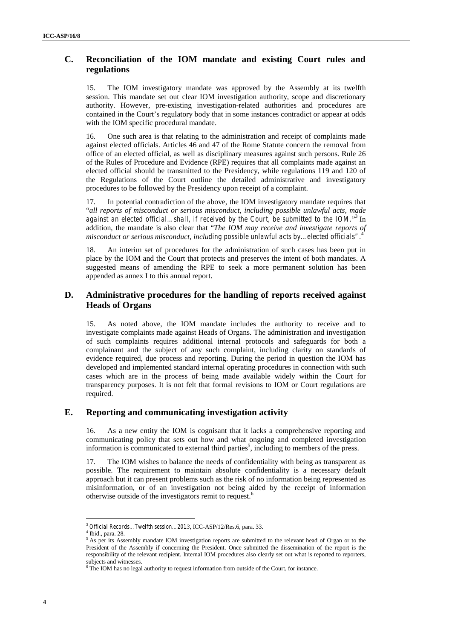### **C. Reconciliation of the IOM mandate and existing Court rules and** <sup>4</sup> **regulations**

15. The IOM investigatory mandate was approved by the Assembly at its twelfth session. This mandate set out clear IOM investigation authority, scope and discretionary authority. However, pre-existing investigation-related authorities and procedures are contained in the Court's regulatory body that in some instances contradict or appear at odds with the IOM specific procedural mandate.

16. One such area is that relating to the administration and receipt of complaints made against elected officials. Articles 46 and 47 of the Rome Statute concern the removal from office of an elected official, as well as disciplinary measures against such persons. Rule 26 of the Rules of Procedure and Evidence (RPE) requires that all complaints made against an elected official should be transmitted to the Presidency, while regulations 119 and 120 of the Regulations of the Court outline the detailed administrative and investigatory procedures to be followed by the Presidency upon receipt of a complaint.

17. In potential contradiction of the above, the IOM investigatory mandate requires that "*all reports of misconduct or serious misconduct, including possible unlawful acts, made against an elected official…shall, if received by the Court, be submitted to the IOM.*" <sup>3</sup> In addition, the mandate is also clear that "*The IOM may receive and investigate reports of misconduct or serious misconduct, including possible unlawful acts by…elected officials".*<sup>4</sup>

18. An interim set of procedures for the administration of such cases has been put in place by the IOM and the Court that protects and preserves the intent of both mandates. A suggested means of amending the RPE to seek a more permanent solution has been appended as annex I to this annual report.

### **D. Administrative procedures for the handling of reports received against Heads of Organs**

**C.** Recommission of the HOM mandate and evicting Court rules and<br> **19** The 10M monotony monotony association and the two stresses of the stresses of the stresses of the two distribution and the stresses of the stresses o 15. As noted above, the IOM mandate includes the authority to receive and to investigate complaints made against Heads of Organs. The administration and investigation of such complaints requires additional internal protocols and safeguards for both a complainant and the subject of any such complaint, including clarity on standards of evidence required, due process and reporting. During the period in question the IOM has developed and implemented standard internal operating procedures in connection with such cases which are in the process of being made available widely within the Court for transparency purposes. It is not felt that formal revisions to IOM or Court regulations are required.

### **E. Reporting and communicating investigation activity**

16. As a new entity the IOM is cognisant that it lacks a comprehensive reporting and communicating policy that sets out how and what ongoing and completed investigation information is communicated to external third parties<sup>5</sup>, including to members of the press.

17. The IOM wishes to balance the needs of confidentiality with being as transparent as possible. The requirement to maintain absolute confidentiality is a necessary default approach but it can present problems such as the risk of no information being represented as misinformation, or of an investigation not being aided by the receipt of information otherwise outside of the investigators remit to request.<sup>6</sup>

 $^3$   $Official \, Records \dots Two left \, session \dots 2013, \, ICC-ASP/12/Res.6, \, para.$  33.  $^4$ Ibid., para. 28.

<sup>&</sup>lt;sup>5</sup> As per its Assembly mandate IOM investigation reports are submitted to the relevant head of Organ or to the President of the Assembly if concerning the President. Once submitted the dissemination of the report is the responsibility of the relevant recipient. Internal IOM procedures also clearly set out what is reported to reporters,

 $6$  The IOM has no legal authority to request information from outside of the Court, for instance.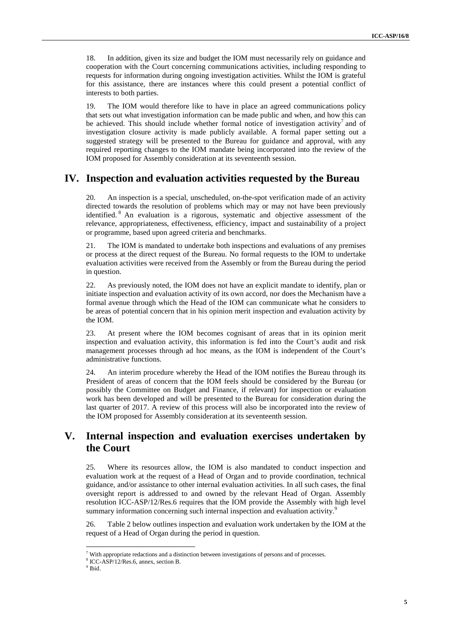18. In addition, given its size and budget the IOM must necessarily rely on guidance and cooperation with the Court concerning communications activities, including responding to requests for information during ongoing investigation activities. Whilst the IOM is grateful for this assistance, there are instances where this could present a potential conflict of interests to both parties.

19. The IOM would therefore like to have in place an agreed communications policy that sets out what investigation information can be made public and when, and how this can be achieved. This should include whether formal notice of investigation activity<sup>7</sup> and of investigation closure activity is made publicly available. A formal paper setting out a suggested strategy will be presented to the Bureau for guidance and approval, with any required reporting changes to the IOM mandate being incorporated into the review of the IOM proposed for Assembly consideration at its seventeenth session.

### **IV. Inspection and evaluation activities requested by the Bureau**

20. An inspection is a special, unscheduled, on-the-spot verification made of an activity directed towards the resolution of problems which may or may not have been previously identified. <sup>8</sup> An evaluation is a rigorous, systematic and objective assessment of the relevance, appropriateness, effectiveness, efficiency, impact and sustainability of a project or programme, based upon agreed criteria and benchmarks.

21. The IOM is mandated to undertake both inspections and evaluations of any premises or process at the direct request of the Bureau. No formal requests to the IOM to undertake evaluation activities were received from the Assembly or from the Bureau during the period in question.

22. As previously noted, the IOM does not have an explicit mandate to identify, plan or initiate inspection and evaluation activity of its own accord, nor does the Mechanism have a formal avenue through which the Head of the IOM can communicate what he considers to be areas of potential concern that in his opinion merit inspection and evaluation activity by the IOM.

23. At present where the IOM becomes cognisant of areas that in its opinion merit inspection and evaluation activity, this information is fed into the Court's audit and risk management processes through ad hoc means, as the IOM is independent of the Court's administrative functions.

24. An interim procedure whereby the Head of the IOM notifies the Bureau through its President of areas of concern that the IOM feels should be considered by the Bureau (or possibly the Committee on Budget and Finance, if relevant) for inspection or evaluation work has been developed and will be presented to the Bureau for consideration during the last quarter of 2017. A review of this process will also be incorporated into the review of the IOM proposed for Assembly consideration at its seventeenth session.

### **V. Internal inspection and evaluation exercises undertaken by the Court**

25. Where its resources allow, the IOM is also mandated to conduct inspection and evaluation work at the request of a Head of Organ and to provide coordination, technical guidance, and/or assistance to other internal evaluation activities. In all such cases, the final oversight report is addressed to and owned by the relevant Head of Organ. Assembly resolution ICC-ASP/12/Res.6 requires that the IOM provide the Assembly with high level summary information concerning such internal inspection and evaluation activity.<sup>9</sup>

26. Table 2 below outlines inspection and evaluation work undertaken by the IOM at the request of a Head of Organ during the period in question.

 $7$  With appropriate redactions and a distinction between investigations of persons and of processes.

 $8 \text{ICC-ASP/12/Res.6}$ , annex, section B.<br>9 Ibid.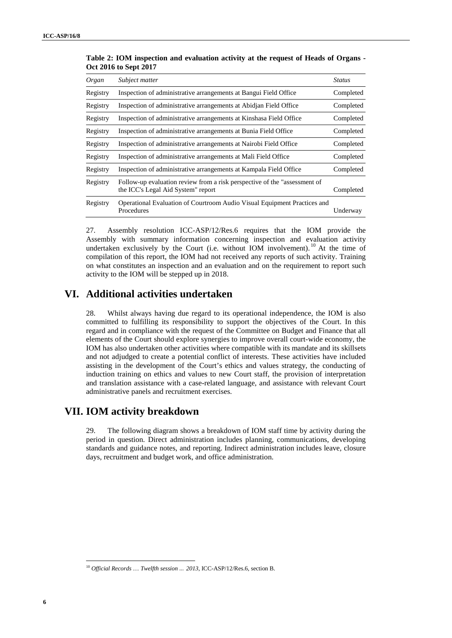| Organ    | Subject matter                                                                                                                                                                                                                                                                                                                                                                                                                                                                                                                                                                                                                                                                                                                                                       | <b>Status</b> |
|----------|----------------------------------------------------------------------------------------------------------------------------------------------------------------------------------------------------------------------------------------------------------------------------------------------------------------------------------------------------------------------------------------------------------------------------------------------------------------------------------------------------------------------------------------------------------------------------------------------------------------------------------------------------------------------------------------------------------------------------------------------------------------------|---------------|
| Registry | Inspection of administrative arrangements at Bangui Field Office                                                                                                                                                                                                                                                                                                                                                                                                                                                                                                                                                                                                                                                                                                     | Completed     |
| Registry | Inspection of administrative arrangements at Abidjan Field Office                                                                                                                                                                                                                                                                                                                                                                                                                                                                                                                                                                                                                                                                                                    | Completed     |
| Registry | Inspection of administrative arrangements at Kinshasa Field Office                                                                                                                                                                                                                                                                                                                                                                                                                                                                                                                                                                                                                                                                                                   | Completed     |
| Registry | Inspection of administrative arrangements at Bunia Field Office                                                                                                                                                                                                                                                                                                                                                                                                                                                                                                                                                                                                                                                                                                      | Completed     |
| Registry | Inspection of administrative arrangements at Nairobi Field Office                                                                                                                                                                                                                                                                                                                                                                                                                                                                                                                                                                                                                                                                                                    | Completed     |
| Registry | Inspection of administrative arrangements at Mali Field Office                                                                                                                                                                                                                                                                                                                                                                                                                                                                                                                                                                                                                                                                                                       | Completed     |
| Registry | Inspection of administrative arrangements at Kampala Field Office                                                                                                                                                                                                                                                                                                                                                                                                                                                                                                                                                                                                                                                                                                    | Completed     |
| Registry | Follow-up evaluation review from a risk perspective of the "assessment of<br>the ICC's Legal Aid System" report                                                                                                                                                                                                                                                                                                                                                                                                                                                                                                                                                                                                                                                      | Completed     |
| Registry | Operational Evaluation of Courtroom Audio Visual Equipment Practices and<br>Procedures                                                                                                                                                                                                                                                                                                                                                                                                                                                                                                                                                                                                                                                                               | Underway      |
| 28.      | Whilst always having due regard to its operational independence, the IOM is also<br>committed to fulfilling its responsibility to support the objectives of the Court. In this<br>regard and in compliance with the request of the Committee on Budget and Finance that all<br>elements of the Court should explore synergies to improve overall court-wide economy, the<br>IOM has also undertaken other activities where compatible with its mandate and its skillsets<br>and not adjudged to create a potential conflict of interests. These activities have included<br>assisting in the development of the Court's ethics and values strategy, the conducting of<br>induction training on ethics and values to new Court staff, the provision of interpretation |               |
|          | and translation assistance with a case-related language, and assistance with relevant Court<br>administrative panels and recruitment exercises.                                                                                                                                                                                                                                                                                                                                                                                                                                                                                                                                                                                                                      |               |
|          | <b>VII. IOM activity breakdown</b>                                                                                                                                                                                                                                                                                                                                                                                                                                                                                                                                                                                                                                                                                                                                   |               |
| 29.      | The following diagram shows a breakdown of IOM staff time by activity during the<br>period in question. Direct administration includes planning, communications, developing<br>standards and guidance notes, and reporting. Indirect administration includes leave, closure<br>days, recruitment and budget work, and office administration.                                                                                                                                                                                                                                                                                                                                                                                                                         |               |
|          |                                                                                                                                                                                                                                                                                                                                                                                                                                                                                                                                                                                                                                                                                                                                                                      |               |
|          |                                                                                                                                                                                                                                                                                                                                                                                                                                                                                                                                                                                                                                                                                                                                                                      |               |
|          |                                                                                                                                                                                                                                                                                                                                                                                                                                                                                                                                                                                                                                                                                                                                                                      |               |
|          |                                                                                                                                                                                                                                                                                                                                                                                                                                                                                                                                                                                                                                                                                                                                                                      |               |
|          |                                                                                                                                                                                                                                                                                                                                                                                                                                                                                                                                                                                                                                                                                                                                                                      |               |
|          |                                                                                                                                                                                                                                                                                                                                                                                                                                                                                                                                                                                                                                                                                                                                                                      |               |
|          |                                                                                                                                                                                                                                                                                                                                                                                                                                                                                                                                                                                                                                                                                                                                                                      |               |

**Table 2: IOM inspection and evaluation activity at the request of Heads of Organs -** <sup>6</sup> **Oct 2016 to Sept 2017**

### **VI. Additional activities undertaken**

### **VII. IOM activity breakdown**

<sup>10</sup> *Official Records* … *Twelfth session … 2013*, ICC-ASP/12/Res.6, section B.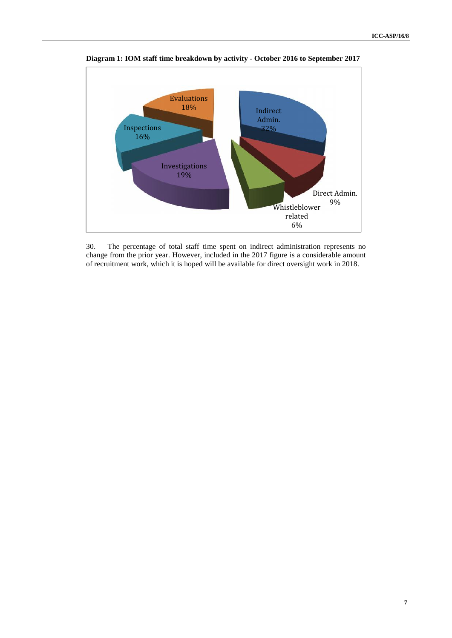

**Diagram 1: IOM staff time breakdown by activity - October 2016 to September 2017**

30. The percentage of total staff time spent on indirect administration represents no change from the prior year. However, included in the 2017 figure is a considerable amount of recruitment work, which it is hoped will be available for direct oversight work in 2018.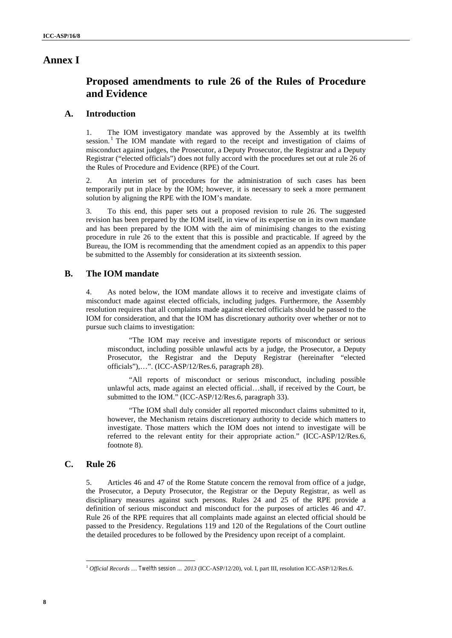### **Annex I**

# **Proposed amendments to rule 26 of the Rules of Procedure and Evidence**

### **A. Introduction**

1. The IOM investigatory mandate was approved by the Assembly at its twelfth session.<sup>1</sup> The IOM mandate with regard to the receipt and investigation of claims of misconduct against judges, the Prosecutor, a Deputy Prosecutor, the Registrar and a Deputy Registrar ("elected officials") does not fully accord with the procedures set out at rule 26 of the Rules of Procedure and Evidence (RPE) of the Court.

2. An interim set of procedures for the administration of such cases has been temporarily put in place by the IOM; however, it is necessary to seek a more permanent solution by aligning the RPE with the IOM's mandate.

3. To this end, this paper sets out a proposed revision to rule 26. The suggested revision has been prepared by the IOM itself, in view of its expertise on in its own mandate and has been prepared by the IOM with the aim of minimising changes to the existing procedure in rule 26 to the extent that this is possible and practicable. If agreed by the Bureau, the IOM is recommending that the amendment copied as an appendix to this paper be submitted to the Assembly for consideration at its sixteenth session.

#### **B. The IOM mandate**

4. As noted below, the IOM mandate allows it to receive and investigate claims of misconduct made against elected officials, including judges. Furthermore, the Assembly resolution requires that all complaints made against elected officials should be passed to the IOM for consideration, and that the IOM has discretionary authority over whether or not to pursue such claims to investigation:

"The IOM may receive and investigate reports of misconduct or serious misconduct, including possible unlawful acts by a judge, the Prosecutor, a Deputy Prosecutor, the Registrar and the Deputy Registrar (hereinafter "elected officials"),…". (ICC-ASP/12/Res.6, paragraph 28).

"All reports of misconduct or serious misconduct, including possible unlawful acts, made against an elected official…shall, if received by the Court, be submitted to the IOM." (ICC-ASP/12/Res.6, paragraph 33).

"The IOM shall duly consider all reported misconduct claims submitted to it, however, the Mechanism retains discretionary authority to decide which matters to investigate. Those matters which the IOM does not intend to investigate will be referred to the relevant entity for their appropriate action." (ICC-ASP/12/Res.6, footnote 8).

### **C. Rule 26**

**Annex I**<br> **Bronzood amendments to rule 26 of the Rules of Procedure<br>
and Nividence<br>
<b>8** ICC-Associates consider the strength of the Rules in the stability<br>
ICC-ASP/10 in the stability of the stability of the stability of 5. Articles 46 and 47 of the Rome Statute concern the removal from office of a judge, the Prosecutor, a Deputy Prosecutor, the Registrar or the Deputy Registrar, as well as disciplinary measures against such persons. Rules 24 and 25 of the RPE provide a definition of serious misconduct and misconduct for the purposes of articles 46 and 47. Rule 26 of the RPE requires that all complaints made against an elected official should be passed to the Presidency. Regulations 119 and 120 of the Regulations of the Court outline the detailed procedures to be followed by the Presidency upon receipt of a complaint.

<sup>1</sup> *Official Records* … *Twelfth session … 2013* (ICC-ASP/12/20), vol. I, part III, resolution ICC-ASP/12/Res.6.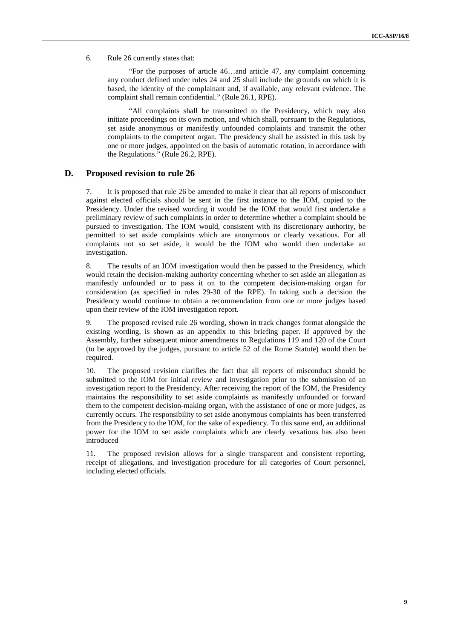#### 6. Rule 26 currently states that:

"For the purposes of article 46…and article 47, any complaint concerning any conduct defined under rules 24 and 25 shall include the grounds on which it is based, the identity of the complainant and, if available, any relevant evidence. The complaint shall remain confidential." (Rule 26.1, RPE).

"All complaints shall be transmitted to the Presidency, which may also initiate proceedings on its own motion, and which shall, pursuant to the Regulations, set aside anonymous or manifestly unfounded complaints and transmit the other complaints to the competent organ. The presidency shall be assisted in this task by one or more judges, appointed on the basis of automatic rotation, in accordance with the Regulations." (Rule 26.2, RPE).

### **D. Proposed revision to rule 26**

7. It is proposed that rule 26 be amended to make it clear that all reports of misconduct against elected officials should be sent in the first instance to the IOM, copied to the Presidency. Under the revised wording it would be the IOM that would first undertake a preliminary review of such complaints in order to determine whether a complaint should be pursued to investigation. The IOM would, consistent with its discretionary authority, be permitted to set aside complaints which are anonymous or clearly vexatious. For all complaints not so set aside, it would be the IOM who would then undertake an investigation.

8. The results of an IOM investigation would then be passed to the Presidency, which would retain the decision-making authority concerning whether to set aside an allegation as manifestly unfounded or to pass it on to the competent decision-making organ for consideration (as specified in rules 29-30 of the RPE). In taking such a decision the Presidency would continue to obtain a recommendation from one or more judges based upon their review of the IOM investigation report.

9. The proposed revised rule 26 wording, shown in track changes format alongside the existing wording, is shown as an appendix to this briefing paper. If approved by the Assembly, further subsequent minor amendments to Regulations 119 and 120 of the Court (to be approved by the judges, pursuant to article 52 of the Rome Statute) would then be required.

10. The proposed revision clarifies the fact that all reports of misconduct should be submitted to the IOM for initial review and investigation prior to the submission of an investigation report to the Presidency. After receiving the report of the IOM, the Presidency maintains the responsibility to set aside complaints as manifestly unfounded or forward them to the competent decision-making organ, with the assistance of one or more judges, as currently occurs. The responsibility to set aside anonymous complaints has been transferred from the Presidency to the IOM, for the sake of expediency. To this same end, an additional power for the IOM to set aside complaints which are clearly vexatious has also been introduced

11. The proposed revision allows for a single transparent and consistent reporting, receipt of allegations, and investigation procedure for all categories of Court personnel, including elected officials.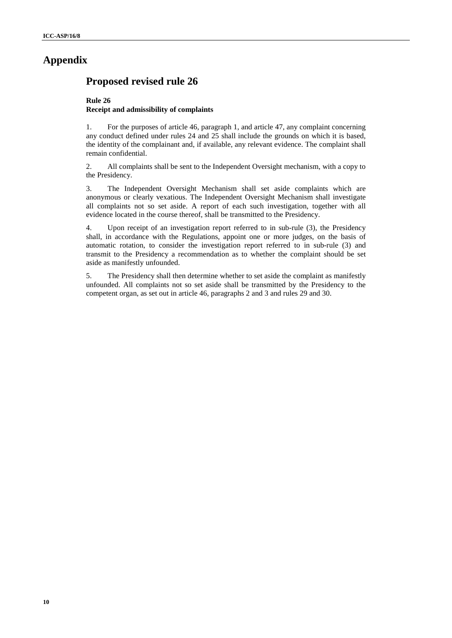# **Appendix**

# **Proposed revised rule 26**

### **Rule 26 Receipt and admissibility of complaints**

1. For the purposes of article 46, paragraph 1, and article 47, any complaint concerning any conduct defined under rules 24 and 25 shall include the grounds on which it is based, the identity of the complainant and, if available, any relevant evidence. The complaint shall remain confidential.

2. All complaints shall be sent to the Independent Oversight mechanism, with a copy to the Presidency.

3. The Independent Oversight Mechanism shall set aside complaints which are anonymous or clearly vexatious. The Independent Oversight Mechanism shall investigate all complaints not so set aside. A report of each such investigation, together with all evidence located in the course thereof, shall be transmitted to the Presidency.

**Appendix**<br> **Proposed revised rule 26<br>
Nacions and admissionity of complates<br>
Receipt and admissionity of complates<br>
<b>1.** Consignment can be studied to particular the system of the system of the system control of the sign 4. Upon receipt of an investigation report referred to in sub-rule (3), the Presidency shall, in accordance with the Regulations, appoint one or more judges, on the basis of automatic rotation, to consider the investigation report referred to in sub-rule (3) and transmit to the Presidency a recommendation as to whether the complaint should be set aside as manifestly unfounded.

5. The Presidency shall then determine whether to set aside the complaint as manifestly unfounded. All complaints not so set aside shall be transmitted by the Presidency to the competent organ, as set out in article 46, paragraphs 2 and 3 and rules 29 and 30.